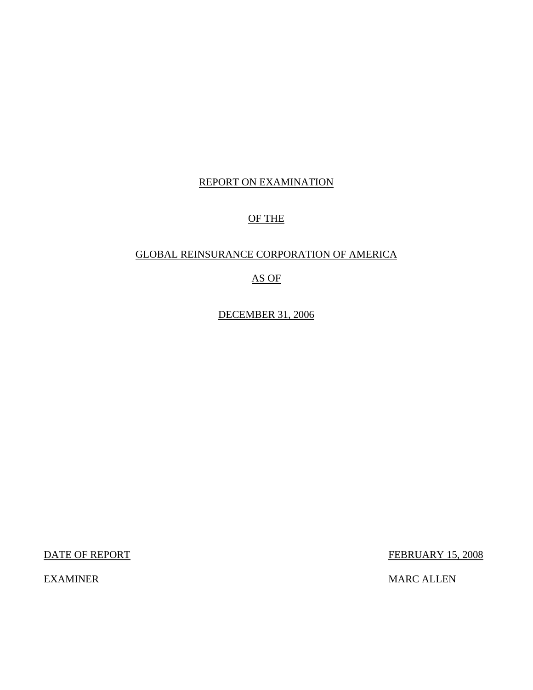## REPORT ON EXAMINATION

# OF THE

### GLOBAL REINSURANCE CORPORATION OF AMERICA

# AS OF

DECEMBER 31, 2006

DATE OF REPORT FEBRUARY 15, 2008

EXAMINER MARC ALLEN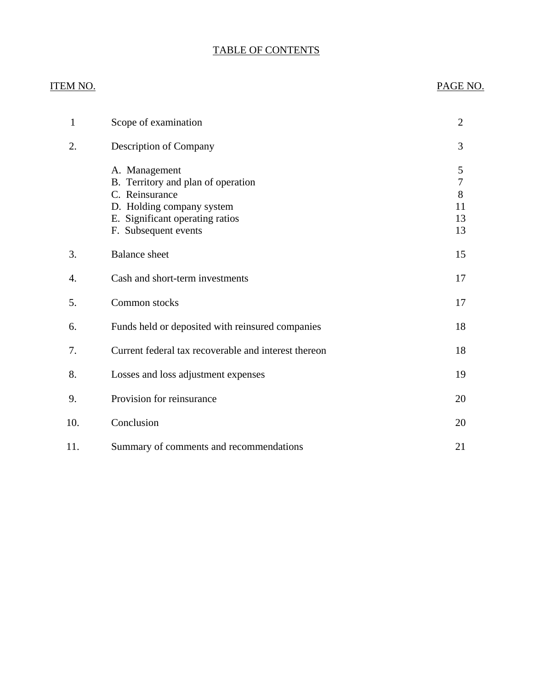# TABLE OF CONTENTS

## ITEM NO. PAGE NO.

| 1   | Scope of examination                                                                                                                                          | $\overline{2}$                               |
|-----|---------------------------------------------------------------------------------------------------------------------------------------------------------------|----------------------------------------------|
| 2.  | Description of Company                                                                                                                                        | 3                                            |
|     | A. Management<br>B. Territory and plan of operation<br>C. Reinsurance<br>D. Holding company system<br>E. Significant operating ratios<br>F. Subsequent events | 5<br>$\boldsymbol{7}$<br>8<br>11<br>13<br>13 |
| 3.  | <b>Balance</b> sheet                                                                                                                                          | 15                                           |
| 4.  | Cash and short-term investments                                                                                                                               | 17                                           |
| 5.  | Common stocks                                                                                                                                                 | 17                                           |
| 6.  | Funds held or deposited with reinsured companies                                                                                                              | 18                                           |
| 7.  | Current federal tax recoverable and interest thereon                                                                                                          | 18                                           |
| 8.  | Losses and loss adjustment expenses                                                                                                                           | 19                                           |
| 9.  | Provision for reinsurance                                                                                                                                     | 20                                           |
| 10. | Conclusion                                                                                                                                                    | 20                                           |
| 11. | Summary of comments and recommendations                                                                                                                       | 21                                           |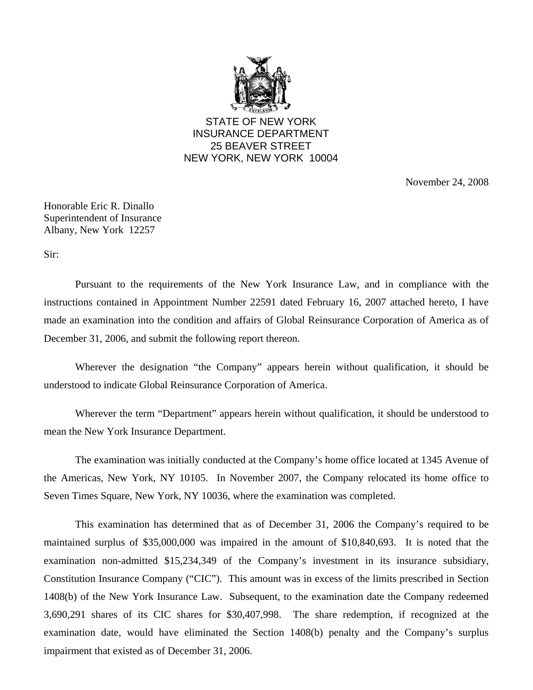

STATE OF NEW YORK INSURANCE DEPARTMENT 25 BEAVER STREET NEW YORK, NEW YORK 10004

November 24, 2008

Honorable Eric R. Dinallo Superintendent of Insurance Albany, New York 12257

Sir:

Pursuant to the requirements of the New York Insurance Law, and in compliance with the instructions contained in Appointment Number 22591 dated February 16, 2007 attached hereto, I have made an examination into the condition and affairs of Global Reinsurance Corporation of America as of December 31, 2006, and submit the following report thereon.

Wherever the designation "the Company" appears herein without qualification, it should be understood to indicate Global Reinsurance Corporation of America.

Wherever the term "Department" appears herein without qualification, it should be understood to mean the New York Insurance Department.

The examination was initially conducted at the Company's home office located at 1345 Avenue of the Americas, New York, NY 10105. In November 2007, the Company relocated its home office to Seven Times Square, New York, NY 10036, where the examination was completed.

This examination has determined that as of December 31, 2006 the Company's required to be maintained surplus of \$35,000,000 was impaired in the amount of \$10,840,693. It is noted that the examination non-admitted \$15,234,349 of the Company's investment in its insurance subsidiary, Constitution Insurance Company ("CIC"). This amount was in excess of the limits prescribed in Section 1408(b) of the New York Insurance Law. Subsequent, to the examination date the Company redeemed 3,690,291 shares of its CIC shares for \$30,407,998. The share redemption, if recognized at the examination date, would have eliminated the Section 1408(b) penalty and the Company's surplus impairment that existed as of December 31, 2006.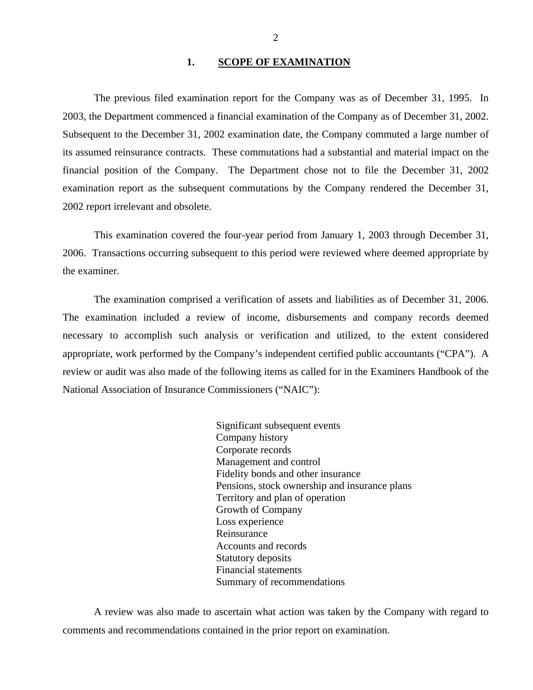### **1. SCOPE OF EXAMINATION**

<span id="page-3-0"></span>The previous filed examination report for the Company was as of December 31, 1995. In 2003, the Department commenced a financial examination of the Company as of December 31, 2002. Subsequent to the December 31, 2002 examination date, the Company commuted a large number of its assumed reinsurance contracts. These commutations had a substantial and material impact on the financial position of the Company. The Department chose not to file the December 31, 2002 examination report as the subsequent commutations by the Company rendered the December 31, 2002 report irrelevant and obsolete.

This examination covered the four-year period from January 1, 2003 through December 31, 2006. Transactions occurring subsequent to this period were reviewed where deemed appropriate by the examiner.

The examination comprised a verification of assets and liabilities as of December 31, 2006. The examination included a review of income, disbursements and company records deemed necessary to accomplish such analysis or verification and utilized, to the extent considered appropriate, work performed by the Company's independent certified public accountants ("CPA"). A review or audit was also made of the following items as called for in the Examiners Handbook of the National Association of Insurance Commissioners ("NAIC"):

> Significant subsequent events Company history Corporate records Management and control Fidelity bonds and other insurance Pensions, stock ownership and insurance plans Territory and plan of operation Growth of Company Loss experience Reinsurance Accounts and records Statutory deposits Financial statements Summary of recommendations

A review was also made to ascertain what action was taken by the Company with regard to comments and recommendations contained in the prior report on examination.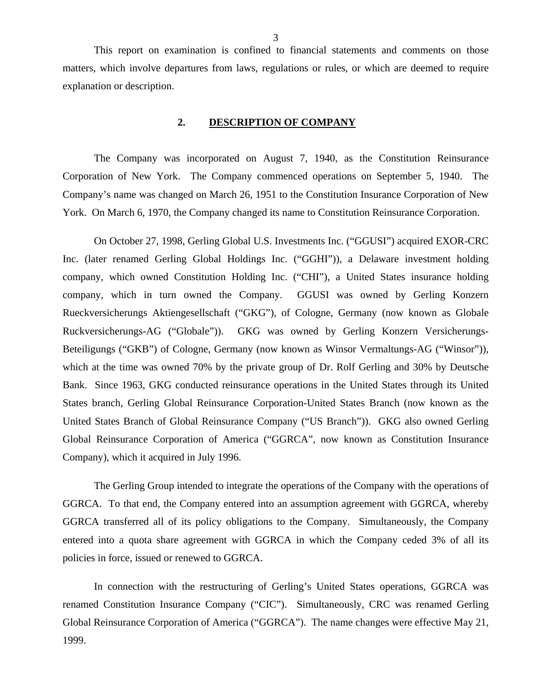<span id="page-4-0"></span>This report on examination is confined to financial statements and comments on those matters, which involve departures from laws, regulations or rules, or which are deemed to require explanation or description.

### **2. DESCRIPTION OF COMPANY**

The Company was incorporated on August 7, 1940, as the Constitution Reinsurance Corporation of New York. The Company commenced operations on September 5, 1940. The Company's name was changed on March 26, 1951 to the Constitution Insurance Corporation of New York. On March 6, 1970, the Company changed its name to Constitution Reinsurance Corporation.

On October 27, 1998, Gerling Global U.S. Investments Inc. ("GGUSI") acquired EXOR-CRC Inc. (later renamed Gerling Global Holdings Inc. ("GGHI")), a Delaware investment holding company, which owned Constitution Holding Inc. ("CHI"), a United States insurance holding company, which in turn owned the Company. GGUSI was owned by Gerling Konzern Rueckversicherungs Aktiengesellschaft ("GKG"), of Cologne, Germany (now known as Globale Ruckversicherungs-AG ("Globale")). GKG was owned by Gerling Konzern Versicherungs-Beteiligungs ("GKB") of Cologne, Germany (now known as Winsor Vermaltungs-AG ("Winsor")), which at the time was owned 70% by the private group of Dr. Rolf Gerling and 30% by Deutsche Bank. Since 1963, GKG conducted reinsurance operations in the United States through its United States branch, Gerling Global Reinsurance Corporation-United States Branch (now known as the United States Branch of Global Reinsurance Company ("US Branch")). GKG also owned Gerling Global Reinsurance Corporation of America ("GGRCA", now known as Constitution Insurance Company), which it acquired in July 1996.

The Gerling Group intended to integrate the operations of the Company with the operations of GGRCA. To that end, the Company entered into an assumption agreement with GGRCA, whereby GGRCA transferred all of its policy obligations to the Company. Simultaneously, the Company entered into a quota share agreement with GGRCA in which the Company ceded 3% of all its policies in force, issued or renewed to GGRCA.

In connection with the restructuring of Gerling's United States operations, GGRCA was renamed Constitution Insurance Company ("CIC"). Simultaneously, CRC was renamed Gerling Global Reinsurance Corporation of America ("GGRCA"). The name changes were effective May 21, 1999.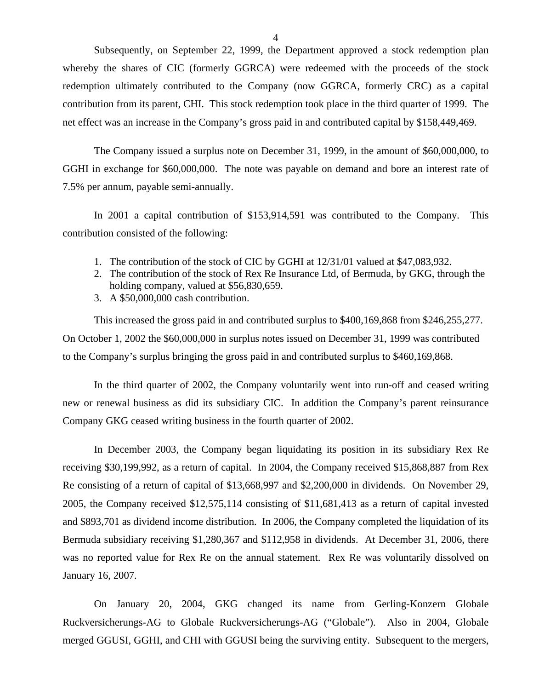Subsequently, on September 22, 1999, the Department approved a stock redemption plan whereby the shares of CIC (formerly GGRCA) were redeemed with the proceeds of the stock redemption ultimately contributed to the Company (now GGRCA, formerly CRC) as a capital contribution from its parent, CHI. This stock redemption took place in the third quarter of 1999. The net effect was an increase in the Company's gross paid in and contributed capital by \$158,449,469.

The Company issued a surplus note on December 31, 1999, in the amount of \$60,000,000, to GGHI in exchange for \$60,000,000. The note was payable on demand and bore an interest rate of 7.5% per annum, payable semi-annually.

In 2001 a capital contribution of \$153,914,591 was contributed to the Company. This contribution consisted of the following:

- 1. The contribution of the stock of CIC by GGHI at 12/31/01 valued at \$47,083,932.
- 2. The contribution of the stock of Rex Re Insurance Ltd, of Bermuda, by GKG, through the holding company, valued at \$56,830,659.
- 3. A \$50,000,000 cash contribution.

This increased the gross paid in and contributed surplus to \$400,169,868 from \$246,255,277. On October 1, 2002 the \$60,000,000 in surplus notes issued on December 31, 1999 was contributed to the Company's surplus bringing the gross paid in and contributed surplus to \$460,169,868.

In the third quarter of 2002, the Company voluntarily went into run-off and ceased writing new or renewal business as did its subsidiary CIC. In addition the Company's parent reinsurance Company GKG ceased writing business in the fourth quarter of 2002.

In December 2003, the Company began liquidating its position in its subsidiary Rex Re receiving \$30,199,992, as a return of capital. In 2004, the Company received \$15,868,887 from Rex Re consisting of a return of capital of \$13,668,997 and \$2,200,000 in dividends. On November 29, 2005, the Company received \$12,575,114 consisting of \$11,681,413 as a return of capital invested and \$893,701 as dividend income distribution. In 2006, the Company completed the liquidation of its Bermuda subsidiary receiving \$1,280,367 and \$112,958 in dividends. At December 31, 2006, there was no reported value for Rex Re on the annual statement. Rex Re was voluntarily dissolved on January 16, 2007.

On January 20, 2004, GKG changed its name from Gerling-Konzern Globale Ruckversicherungs-AG to Globale Ruckversicherungs-AG ("Globale"). Also in 2004, Globale merged GGUSI, GGHI, and CHI with GGUSI being the surviving entity. Subsequent to the mergers,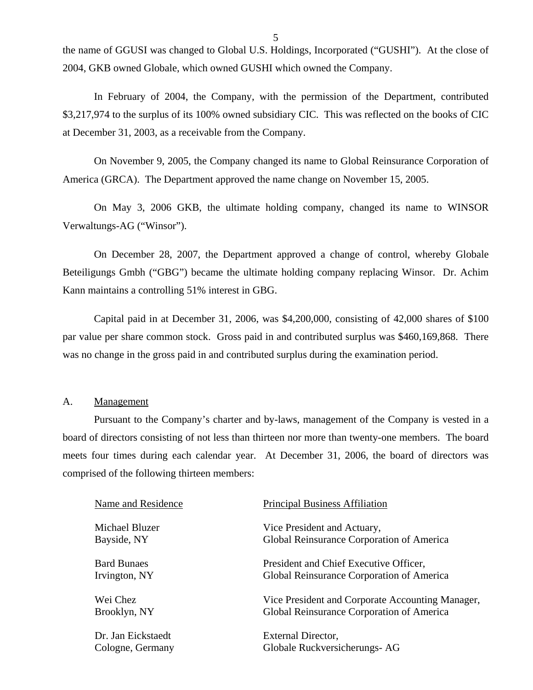the name of GGUSI was changed to Global U.S. Holdings, Incorporated ("GUSHI"). At the close of 2004, GKB owned Globale, which owned GUSHI which owned the Company.

In February of 2004, the Company, with the permission of the Department, contributed \$3,217,974 to the surplus of its 100% owned subsidiary CIC. This was reflected on the books of CIC at December 31, 2003, as a receivable from the Company.

On November 9, 2005, the Company changed its name to Global Reinsurance Corporation of America (GRCA). The Department approved the name change on November 15, 2005.

On May 3, 2006 GKB, the ultimate holding company, changed its name to WINSOR Verwaltungs-AG ("Winsor").

On December 28, 2007, the Department approved a change of control, whereby Globale Beteiligungs Gmbh ("GBG") became the ultimate holding company replacing Winsor. Dr. Achim Kann maintains a controlling 51% interest in GBG.

Capital paid in at December 31, 2006, was \$4,200,000, consisting of 42,000 shares of \$100 par value per share common stock. Gross paid in and contributed surplus was \$460,169,868. There was no change in the gross paid in and contributed surplus during the examination period.

### A. Management

Pursuant to the Company's charter and by-laws, management of the Company is vested in a board of directors consisting of not less than thirteen nor more than twenty-one members. The board meets four times during each calendar year. At December 31, 2006, the board of directors was comprised of the following thirteen members:

| Name and Residence | <b>Principal Business Affiliation</b>            |
|--------------------|--------------------------------------------------|
| Michael Bluzer     | Vice President and Actuary,                      |
| Bayside, NY        | Global Reinsurance Corporation of America        |
| <b>Bard Bunaes</b> | President and Chief Executive Officer,           |
| Irvington, NY      | Global Reinsurance Corporation of America        |
| Wei Chez           | Vice President and Corporate Accounting Manager, |
| Brooklyn, NY       | Global Reinsurance Corporation of America        |
| Dr. Jan Eickstaedt | External Director,                               |
| Cologne, Germany   | Globale Ruckversicherungs- AG                    |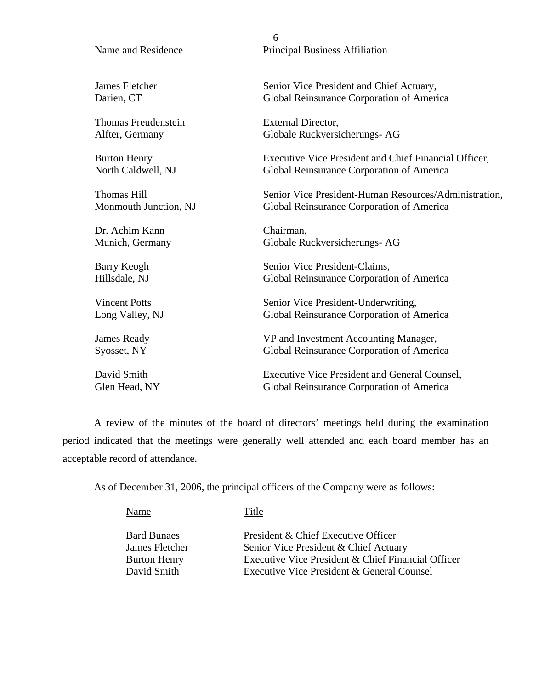# 6 Name and Residence Principal Business Affiliation James Fletcher Senior Vice President and Chief Actuary, Darien, CT Global Reinsurance Corporation of America Thomas Freudenstein External Director, Alfter, Germany Globale Ruckversicherungs- AG Burton Henry Executive Vice President and Chief Financial Officer, North Caldwell, NJ Global Reinsurance Corporation of America Thomas Hill Senior Vice President-Human Resources/Administration, Monmouth Junction, NJ Global Reinsurance Corporation of America Dr. Achim Kann Chairman, Munich, Germany Globale Ruckversicherungs- AG

Barry Keogh Senior Vice President-Claims, Hillsdale, NJ Global Reinsurance Corporation of America

Vincent Potts Senior Vice President-Underwriting, Long Valley, NJ Global Reinsurance Corporation of America

James Ready VP and Investment Accounting Manager, Syosset, NY Global Reinsurance Corporation of America

David Smith Executive Vice President and General Counsel, Glen Head, NY Global Reinsurance Corporation of America

A review of the minutes of the board of directors' meetings held during the examination period indicated that the meetings were generally well attended and each board member has an acceptable record of attendance.

As of December 31, 2006, the principal officers of the Company were as follows:

Name Title

Bard Bunaes President & Chief Executive Officer James Fletcher Senior Vice President & Chief Actuary Burton Henry Executive Vice President & Chief Financial Officer David Smith Executive Vice President & General Counsel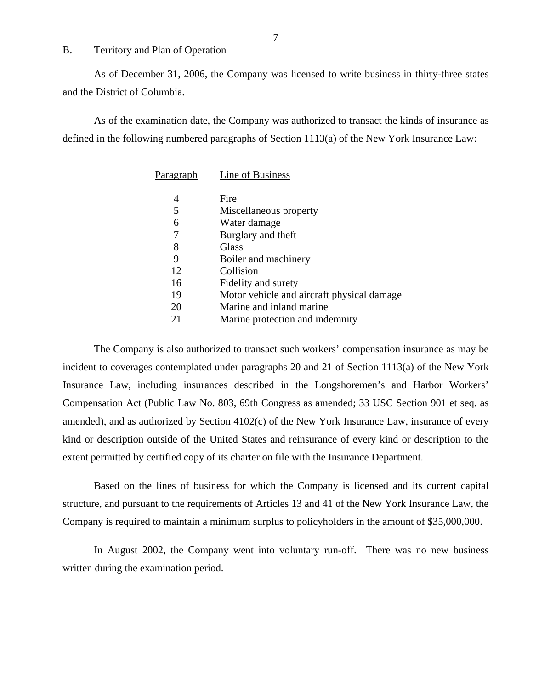### B. Territory and Plan of Operation

As of December 31, 2006, the Company was licensed to write business in thirty-three states and the District of Columbia.

As of the examination date, the Company was authorized to transact the kinds of insurance as defined in the following numbered paragraphs of Section 1113(a) of the New York Insurance Law:

| Paragraph | Line of Business                           |
|-----------|--------------------------------------------|
| 4         | Fire                                       |
| 5         | Miscellaneous property                     |
| 6         | Water damage                               |
| 7         | Burglary and theft                         |
| 8         | Glass                                      |
| 9         | Boiler and machinery                       |
| 12        | Collision                                  |
| 16        | Fidelity and surety                        |
| 19        | Motor vehicle and aircraft physical damage |
| 20        | Marine and inland marine                   |
| 21        | Marine protection and indemnity            |

The Company is also authorized to transact such workers' compensation insurance as may be incident to coverages contemplated under paragraphs 20 and 21 of Section 1113(a) of the New York Insurance Law, including insurances described in the Longshoremen's and Harbor Workers' Compensation Act (Public Law No. 803, 69th Congress as amended; 33 USC Section 901 et seq. as amended), and as authorized by Section 4102(c) of the New York Insurance Law, insurance of every kind or description outside of the United States and reinsurance of every kind or description to the extent permitted by certified copy of its charter on file with the Insurance Department.

Based on the lines of business for which the Company is licensed and its current capital structure, and pursuant to the requirements of Articles 13 and 41 of the New York Insurance Law, the Company is required to maintain a minimum surplus to policyholders in the amount of \$35,000,000.

In August 2002, the Company went into voluntary run-off. There was no new business written during the examination period.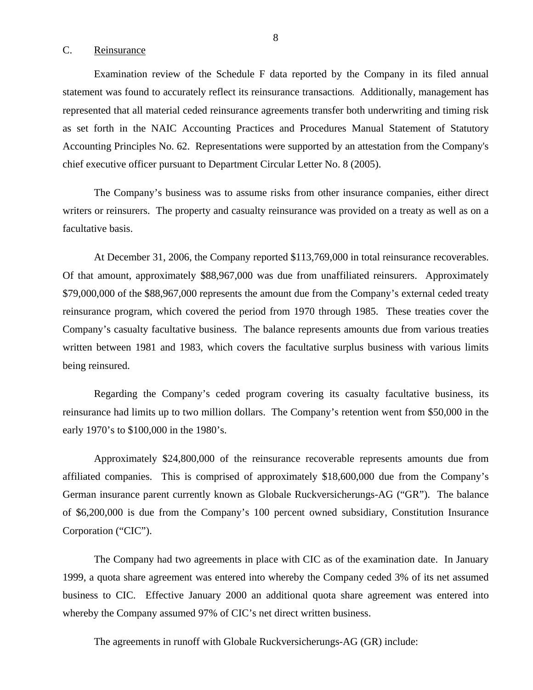### <span id="page-9-0"></span>C. Reinsurance

Examination review of the Schedule F data reported by the Company in its filed annual statement was found to accurately reflect its reinsurance transactions. Additionally, management has represented that all material ceded reinsurance agreements transfer both underwriting and timing risk as set forth in the NAIC Accounting Practices and Procedures Manual Statement of Statutory Accounting Principles No. 62. Representations were supported by an attestation from the Company's chief executive officer pursuant to Department Circular Letter No. 8 (2005).

The Company's business was to assume risks from other insurance companies, either direct writers or reinsurers. The property and casualty reinsurance was provided on a treaty as well as on a facultative basis.

At December 31, 2006, the Company reported \$113,769,000 in total reinsurance recoverables. Of that amount, approximately \$88,967,000 was due from unaffiliated reinsurers. Approximately \$79,000,000 of the \$88,967,000 represents the amount due from the Company's external ceded treaty reinsurance program, which covered the period from 1970 through 1985. These treaties cover the Company's casualty facultative business. The balance represents amounts due from various treaties written between 1981 and 1983, which covers the facultative surplus business with various limits being reinsured.

Regarding the Company's ceded program covering its casualty facultative business, its reinsurance had limits up to two million dollars. The Company's retention went from \$50,000 in the early 1970's to \$100,000 in the 1980's.

Approximately \$24,800,000 of the reinsurance recoverable represents amounts due from affiliated companies. This is comprised of approximately \$18,600,000 due from the Company's German insurance parent currently known as Globale Ruckversicherungs-AG ("GR"). The balance of \$6,200,000 is due from the Company's 100 percent owned subsidiary, Constitution Insurance Corporation ("CIC").

The Company had two agreements in place with CIC as of the examination date. In January 1999, a quota share agreement was entered into whereby the Company ceded 3% of its net assumed business to CIC. Effective January 2000 an additional quota share agreement was entered into whereby the Company assumed 97% of CIC's net direct written business.

The agreements in runoff with Globale Ruckversicherungs-AG (GR) include: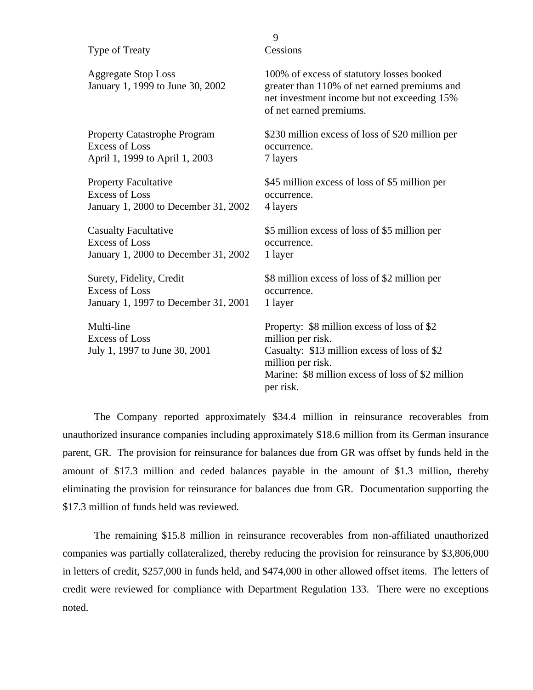| <b>Type of Treaty</b>                                                | Cessions                                                                                                                                                                                                |
|----------------------------------------------------------------------|---------------------------------------------------------------------------------------------------------------------------------------------------------------------------------------------------------|
| <b>Aggregate Stop Loss</b><br>January 1, 1999 to June 30, 2002       | 100% of excess of statutory losses booked<br>greater than 110% of net earned premiums and<br>net investment income but not exceeding 15%<br>of net earned premiums.                                     |
| <b>Property Catastrophe Program</b>                                  | \$230 million excess of loss of \$20 million per                                                                                                                                                        |
| <b>Excess of Loss</b>                                                | occurrence.                                                                                                                                                                                             |
| April 1, 1999 to April 1, 2003                                       | 7 layers                                                                                                                                                                                                |
| <b>Property Facultative</b>                                          | \$45 million excess of loss of \$5 million per                                                                                                                                                          |
| <b>Excess of Loss</b>                                                | occurrence.                                                                                                                                                                                             |
| January 1, 2000 to December 31, 2002                                 | 4 layers                                                                                                                                                                                                |
| <b>Casualty Facultative</b>                                          | \$5 million excess of loss of \$5 million per                                                                                                                                                           |
| <b>Excess of Loss</b>                                                | occurrence.                                                                                                                                                                                             |
| January 1, 2000 to December 31, 2002                                 | 1 layer                                                                                                                                                                                                 |
| Surety, Fidelity, Credit                                             | \$8 million excess of loss of \$2 million per                                                                                                                                                           |
| <b>Excess of Loss</b>                                                | occurrence.                                                                                                                                                                                             |
| January 1, 1997 to December 31, 2001                                 | 1 layer                                                                                                                                                                                                 |
| Multi-line<br><b>Excess of Loss</b><br>July 1, 1997 to June 30, 2001 | Property: \$8 million excess of loss of \$2<br>million per risk.<br>Casualty: \$13 million excess of loss of \$2<br>million per risk.<br>Marine: \$8 million excess of loss of \$2 million<br>per risk. |

9

The Company reported approximately \$34.4 million in reinsurance recoverables from unauthorized insurance companies including approximately \$18.6 million from its German insurance parent, GR. The provision for reinsurance for balances due from GR was offset by funds held in the amount of \$17.3 million and ceded balances payable in the amount of \$1.3 million, thereby eliminating the provision for reinsurance for balances due from GR. Documentation supporting the \$17.3 million of funds held was reviewed.

The remaining \$15.8 million in reinsurance recoverables from non-affiliated unauthorized companies was partially collateralized, thereby reducing the provision for reinsurance by \$3,806,000 in letters of credit, \$257,000 in funds held, and \$474,000 in other allowed offset items. The letters of credit were reviewed for compliance with Department Regulation 133. There were no exceptions noted.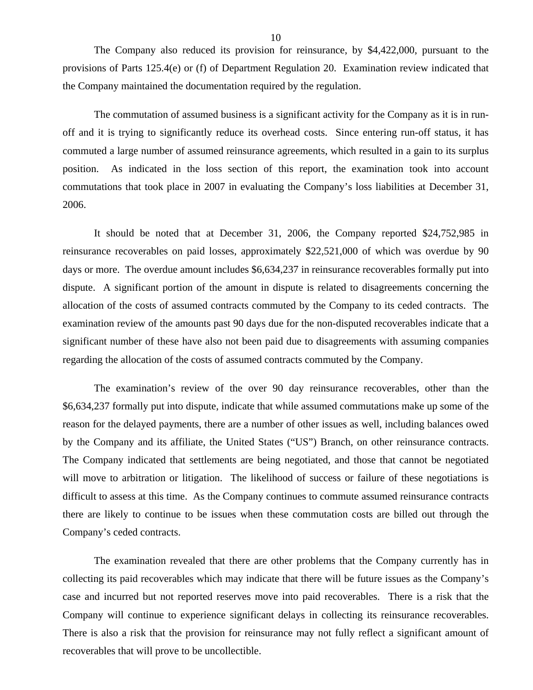The Company also reduced its provision for reinsurance, by \$4,422,000, pursuant to the provisions of Parts 125.4(e) or (f) of Department Regulation 20. Examination review indicated that the Company maintained the documentation required by the regulation.

The commutation of assumed business is a significant activity for the Company as it is in runoff and it is trying to significantly reduce its overhead costs. Since entering run-off status, it has commuted a large number of assumed reinsurance agreements, which resulted in a gain to its surplus position. As indicated in the loss section of this report, the examination took into account commutations that took place in 2007 in evaluating the Company's loss liabilities at December 31, 2006.

It should be noted that at December 31, 2006, the Company reported \$24,752,985 in reinsurance recoverables on paid losses, approximately \$22,521,000 of which was overdue by 90 days or more. The overdue amount includes \$6,634,237 in reinsurance recoverables formally put into dispute. A significant portion of the amount in dispute is related to disagreements concerning the allocation of the costs of assumed contracts commuted by the Company to its ceded contracts. The examination review of the amounts past 90 days due for the non-disputed recoverables indicate that a significant number of these have also not been paid due to disagreements with assuming companies regarding the allocation of the costs of assumed contracts commuted by the Company.

The examination's review of the over 90 day reinsurance recoverables, other than the \$6,634,237 formally put into dispute, indicate that while assumed commutations make up some of the reason for the delayed payments, there are a number of other issues as well, including balances owed by the Company and its affiliate, the United States ("US") Branch, on other reinsurance contracts. The Company indicated that settlements are being negotiated, and those that cannot be negotiated will move to arbitration or litigation. The likelihood of success or failure of these negotiations is difficult to assess at this time. As the Company continues to commute assumed reinsurance contracts there are likely to continue to be issues when these commutation costs are billed out through the Company's ceded contracts.

The examination revealed that there are other problems that the Company currently has in collecting its paid recoverables which may indicate that there will be future issues as the Company's case and incurred but not reported reserves move into paid recoverables. There is a risk that the Company will continue to experience significant delays in collecting its reinsurance recoverables. There is also a risk that the provision for reinsurance may not fully reflect a significant amount of recoverables that will prove to be uncollectible.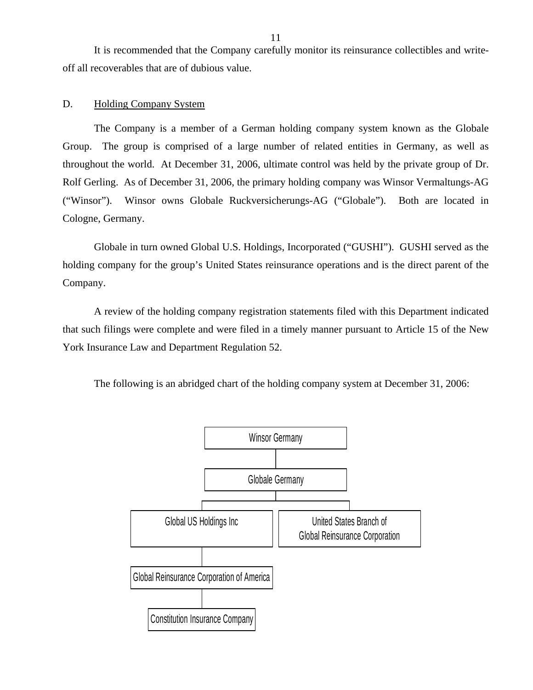<span id="page-12-0"></span>It is recommended that the Company carefully monitor its reinsurance collectibles and writeoff all recoverables that are of dubious value.

### D. Holding Company System

The Company is a member of a German holding company system known as the Globale Group. The group is comprised of a large number of related entities in Germany, as well as throughout the world. At December 31, 2006, ultimate control was held by the private group of Dr. Rolf Gerling. As of December 31, 2006, the primary holding company was Winsor Vermaltungs-AG ("Winsor"). Winsor owns Globale Ruckversicherungs-AG ("Globale"). Both are located in Cologne, Germany.

Globale in turn owned Global U.S. Holdings, Incorporated ("GUSHI"). GUSHI served as the holding company for the group's United States reinsurance operations and is the direct parent of the Company.

A review of the holding company registration statements filed with this Department indicated that such filings were complete and were filed in a timely manner pursuant to Article 15 of the New York Insurance Law and Department Regulation 52.

The following is an abridged chart of the holding company system at December 31, 2006:

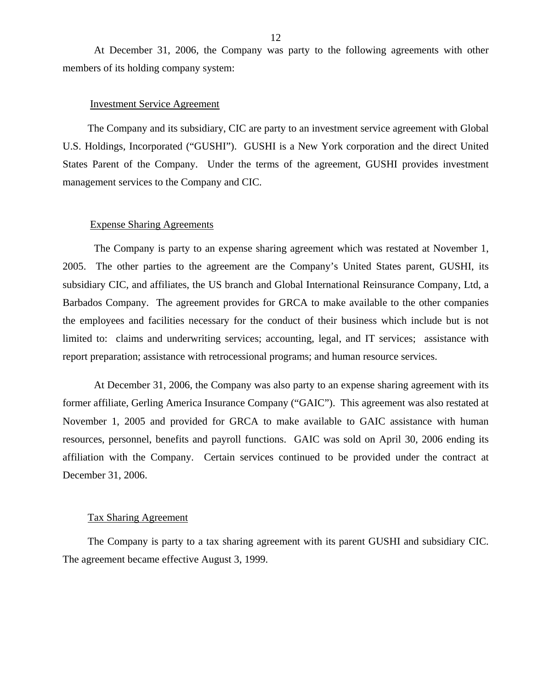At December 31, 2006, the Company was party to the following agreements with other members of its holding company system:

### Investment Service Agreement

The Company and its subsidiary, CIC are party to an investment service agreement with Global U.S. Holdings, Incorporated ("GUSHI"). GUSHI is a New York corporation and the direct United States Parent of the Company. Under the terms of the agreement, GUSHI provides investment management services to the Company and CIC.

### Expense Sharing Agreements

The Company is party to an expense sharing agreement which was restated at November 1, 2005. The other parties to the agreement are the Company's United States parent, GUSHI, its subsidiary CIC, and affiliates, the US branch and Global International Reinsurance Company, Ltd, a Barbados Company. The agreement provides for GRCA to make available to the other companies the employees and facilities necessary for the conduct of their business which include but is not limited to: claims and underwriting services; accounting, legal, and IT services; assistance with report preparation; assistance with retrocessional programs; and human resource services.

At December 31, 2006, the Company was also party to an expense sharing agreement with its former affiliate, Gerling America Insurance Company ("GAIC"). This agreement was also restated at November 1, 2005 and provided for GRCA to make available to GAIC assistance with human resources, personnel, benefits and payroll functions. GAIC was sold on April 30, 2006 ending its affiliation with the Company. Certain services continued to be provided under the contract at December 31, 2006.

### Tax Sharing Agreement

The Company is party to a tax sharing agreement with its parent GUSHI and subsidiary CIC. The agreement became effective August 3, 1999.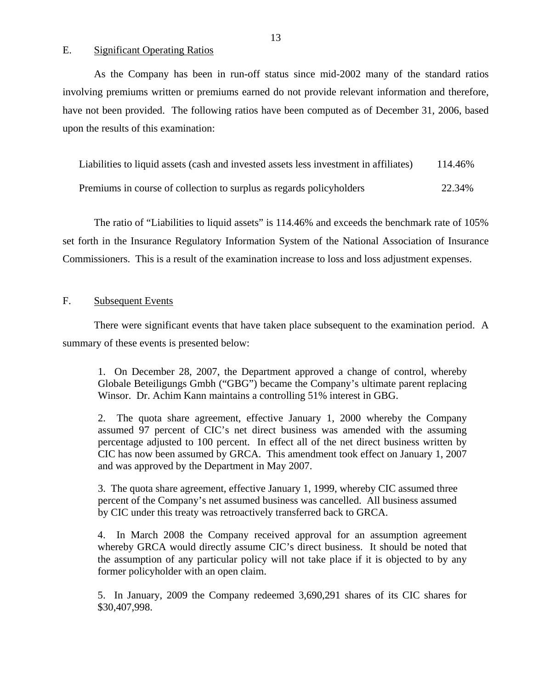### <span id="page-14-0"></span>E. Significant Operating Ratios

As the Company has been in run-off status since mid-2002 many of the standard ratios involving premiums written or premiums earned do not provide relevant information and therefore, have not been provided. The following ratios have been computed as of December 31, 2006, based upon the results of this examination:

Liabilities to liquid assets (cash and invested assets less investment in affiliates) 114.46%

Premiums in course of collection to surplus as regards policyholders 22.34%

The ratio of "Liabilities to liquid assets" is 114.46% and exceeds the benchmark rate of 105% set forth in the Insurance Regulatory Information System of the National Association of Insurance Commissioners. This is a result of the examination increase to loss and loss adjustment expenses.

### F. Subsequent Events

There were significant events that have taken place subsequent to the examination period. A summary of these events is presented below:

1. On December 28, 2007, the Department approved a change of control, whereby Globale Beteiligungs Gmbh ("GBG") became the Company's ultimate parent replacing Winsor. Dr. Achim Kann maintains a controlling 51% interest in GBG.

2. The quota share agreement, effective January 1, 2000 whereby the Company assumed 97 percent of CIC's net direct business was amended with the assuming percentage adjusted to 100 percent. In effect all of the net direct business written by CIC has now been assumed by GRCA. This amendment took effect on January 1, 2007 and was approved by the Department in May 2007.

3. The quota share agreement, effective January 1, 1999, whereby CIC assumed three percent of the Company's net assumed business was cancelled. All business assumed by CIC under this treaty was retroactively transferred back to GRCA.

4. In March 2008 the Company received approval for an assumption agreement whereby GRCA would directly assume CIC's direct business. It should be noted that the assumption of any particular policy will not take place if it is objected to by any former policyholder with an open claim.

5. In January, 2009 the Company redeemed 3,690,291 shares of its CIC shares for \$30,407,998.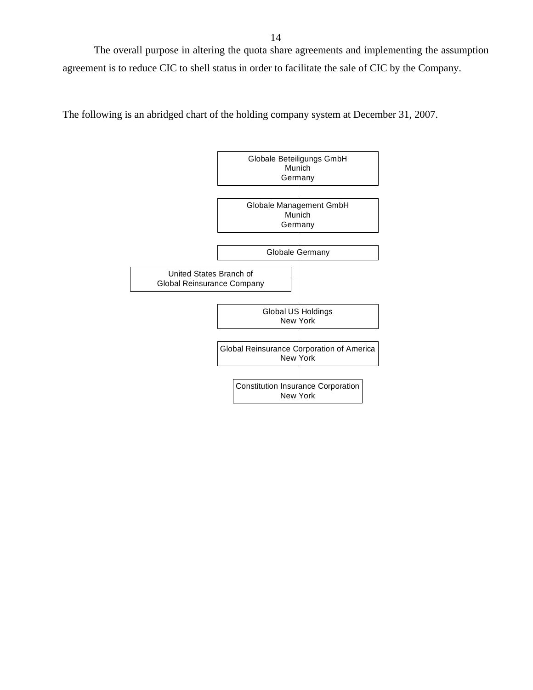The overall purpose in altering the quota share agreements and implementing the assumption agreement is to reduce CIC to shell status in order to facilitate the sale of CIC by the Company.

The following is an abridged chart of the holding company system at December 31, 2007.

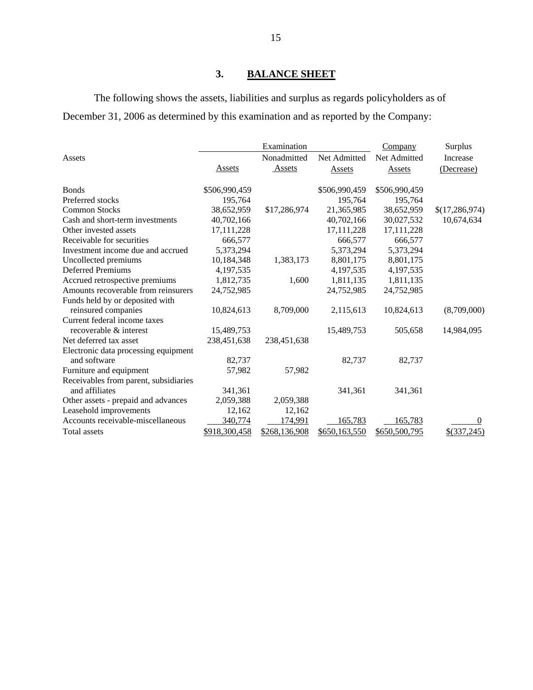# **3. BALANCE SHEET**

The following shows the assets, liabilities and surplus as regards policyholders as of December 31, 2006 as determined by this examination and as reported by the Company:

|                                       | Examination   |               |               | Company       | Surplus          |
|---------------------------------------|---------------|---------------|---------------|---------------|------------------|
| Assets                                |               | Nonadmitted   | Net Admitted  | Net Admitted  | Increase         |
|                                       | Assets        | Assets        | Assets        | Assets        | (Decrease)       |
| <b>Bonds</b>                          | \$506,990,459 |               | \$506,990,459 | \$506,990,459 |                  |
| Preferred stocks                      | 195,764       |               | 195,764       | 195,764       |                  |
| <b>Common Stocks</b>                  | 38,652,959    | \$17,286,974  | 21,365,985    | 38,652,959    | \$(17, 286, 974) |
| Cash and short-term investments       | 40,702,166    |               | 40,702,166    | 30,027,532    | 10,674,634       |
| Other invested assets                 | 17,111,228    |               | 17,111,228    | 17,111,228    |                  |
| Receivable for securities             | 666,577       |               | 666,577       | 666,577       |                  |
| Investment income due and accrued     | 5,373,294     |               | 5,373,294     | 5,373,294     |                  |
| Uncollected premiums                  | 10,184,348    | 1,383,173     | 8,801,175     | 8,801,175     |                  |
| <b>Deferred Premiums</b>              | 4,197,535     |               | 4,197,535     | 4,197,535     |                  |
| Accrued retrospective premiums        | 1,812,735     | 1,600         | 1,811,135     | 1,811,135     |                  |
| Amounts recoverable from reinsurers   | 24,752,985    |               | 24,752,985    | 24,752,985    |                  |
| Funds held by or deposited with       |               |               |               |               |                  |
| reinsured companies                   | 10,824,613    | 8,709,000     | 2,115,613     | 10,824,613    | (8,709,000)      |
| Current federal income taxes          |               |               |               |               |                  |
| recoverable & interest                | 15,489,753    |               | 15,489,753    | 505,658       | 14,984,095       |
| Net deferred tax asset                | 238,451,638   | 238,451,638   |               |               |                  |
| Electronic data processing equipment  |               |               |               |               |                  |
| and software                          | 82,737        |               | 82,737        | 82,737        |                  |
| Furniture and equipment               | 57,982        | 57,982        |               |               |                  |
| Receivables from parent, subsidiaries |               |               |               |               |                  |
| and affiliates                        | 341,361       |               | 341,361       | 341,361       |                  |
| Other assets - prepaid and advances   | 2,059,388     | 2,059,388     |               |               |                  |
| Leasehold improvements                | 12,162        | 12,162        |               |               |                  |
| Accounts receivable-miscellaneous     | 340,774       | 174,991       | 165,783       | 165,783       | $\Omega$         |
| Total assets                          | \$918,300,458 | \$268,136,908 | \$650,163,550 | \$650,500,795 | $$$ (337,245)    |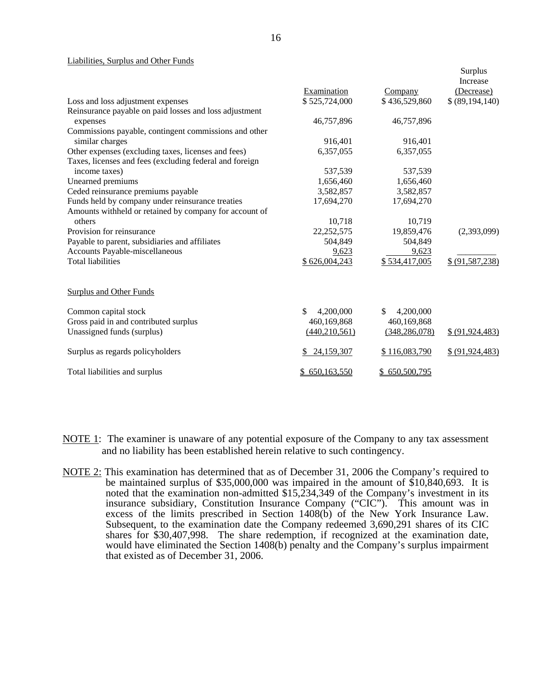### Liabilities, Surplus and Other Funds

|                                                         |                  |                  | Surplus           |
|---------------------------------------------------------|------------------|------------------|-------------------|
|                                                         |                  |                  | Increase          |
|                                                         | Examination      | Company          | (Decrease)        |
| Loss and loss adjustment expenses                       | \$525,724,000    | \$436,529,860    | \$ (89,194,140)   |
| Reinsurance payable on paid losses and loss adjustment  |                  |                  |                   |
| expenses                                                | 46,757,896       | 46,757,896       |                   |
| Commissions payable, contingent commissions and other   |                  |                  |                   |
| similar charges                                         | 916,401          | 916,401          |                   |
| Other expenses (excluding taxes, licenses and fees)     | 6,357,055        | 6,357,055        |                   |
| Taxes, licenses and fees (excluding federal and foreign |                  |                  |                   |
| income taxes)                                           | 537,539          | 537,539          |                   |
| Unearned premiums                                       | 1,656,460        | 1,656,460        |                   |
| Ceded reinsurance premiums payable                      | 3,582,857        | 3,582,857        |                   |
| Funds held by company under reinsurance treaties        | 17,694,270       | 17,694,270       |                   |
| Amounts withheld or retained by company for account of  |                  |                  |                   |
| others                                                  | 10,718           | 10,719           |                   |
| Provision for reinsurance                               | 22, 252, 575     | 19,859,476       | (2,393,099)       |
| Payable to parent, subsidiaries and affiliates          | 504,849          | 504,849          |                   |
| Accounts Payable-miscellaneous                          | 9,623            | 9,623            |                   |
| <b>Total liabilities</b>                                | \$626,004,243    | \$534,417,005    | \$ (91, 587, 238) |
| <b>Surplus and Other Funds</b>                          |                  |                  |                   |
| Common capital stock                                    | \$.<br>4,200,000 | \$.<br>4,200,000 |                   |
| Gross paid in and contributed surplus                   | 460,169,868      | 460,169,868      |                   |
| Unassigned funds (surplus)                              | (440, 210, 561)  | (348, 286, 078)  | \$ (91,924,483)   |
| Surplus as regards policyholders                        | 24,159,307<br>\$ | \$116,083,790    | \$ (91, 924, 483) |
| Total liabilities and surplus                           | 650,163,550      | \$650,500,795    |                   |

- NOTE 1: The examiner is unaware of any potential exposure of the Company to any tax assessment and no liability has been established herein relative to such contingency.
- NOTE 2: This examination has determined that as of December 31, 2006 the Company's required to be maintained surplus of \$35,000,000 was impaired in the amount of \$10,840,693. It is noted that the examination non-admitted \$15,234,349 of the Company's investment in its insurance subsidiary, Constitution Insurance Company ("CIC"). This amount was in excess of the limits prescribed in Section 1408(b) of the New York Insurance Law. Subsequent, to the examination date the Company redeemed 3,690,291 shares of its CIC shares for \$30,407,998. The share redemption, if recognized at the examination date, would have eliminated the Section 1408(b) penalty and the Company's surplus impairment that existed as of December 31, 2006.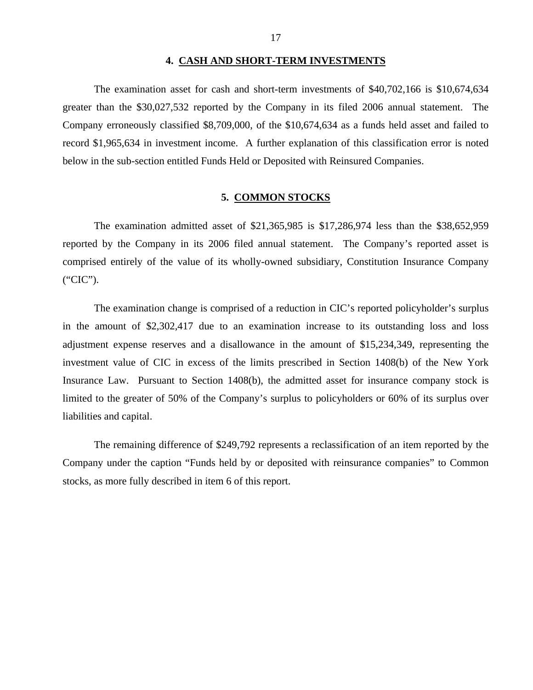### **4. CASH AND SHORT-TERM INVESTMENTS**

<span id="page-18-0"></span>The examination asset for cash and short-term investments of \$40,702,166 is \$10,674,634 greater than the \$30,027,532 reported by the Company in its filed 2006 annual statement. The Company erroneously classified \$8,709,000, of the \$10,674,634 as a funds held asset and failed to record \$1,965,634 in investment income. A further explanation of this classification error is noted below in the sub-section entitled Funds Held or Deposited with Reinsured Companies.

### **5. COMMON STOCKS**

The examination admitted asset of \$21,365,985 is \$17,286,974 less than the \$38,652,959 reported by the Company in its 2006 filed annual statement. The Company's reported asset is comprised entirely of the value of its wholly-owned subsidiary, Constitution Insurance Company ("CIC").

The examination change is comprised of a reduction in CIC's reported policyholder's surplus in the amount of \$2,302,417 due to an examination increase to its outstanding loss and loss adjustment expense reserves and a disallowance in the amount of \$15,234,349, representing the investment value of CIC in excess of the limits prescribed in Section 1408(b) of the New York Insurance Law. Pursuant to Section 1408(b), the admitted asset for insurance company stock is limited to the greater of 50% of the Company's surplus to policyholders or 60% of its surplus over liabilities and capital.

The remaining difference of \$249,792 represents a reclassification of an item reported by the Company under the caption "Funds held by or deposited with reinsurance companies" to Common stocks, as more fully described in item 6 of this report.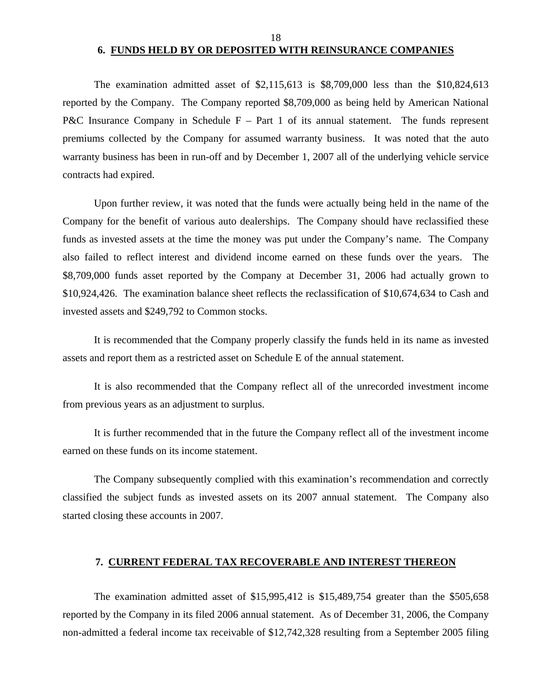### 18 **6. FUNDS HELD BY OR DEPOSITED WITH REINSURANCE COMPANIES**

<span id="page-19-0"></span>The examination admitted asset of  $\frac{2,115,613}{2}$  is  $\frac{8,709,000}{2}$  less than the \$10,824,613 reported by the Company. The Company reported \$8,709,000 as being held by American National P&C Insurance Company in Schedule  $F - Part 1$  of its annual statement. The funds represent premiums collected by the Company for assumed warranty business. It was noted that the auto warranty business has been in run-off and by December 1, 2007 all of the underlying vehicle service contracts had expired.

Upon further review, it was noted that the funds were actually being held in the name of the Company for the benefit of various auto dealerships. The Company should have reclassified these funds as invested assets at the time the money was put under the Company's name. The Company also failed to reflect interest and dividend income earned on these funds over the years. The \$8,709,000 funds asset reported by the Company at December 31, 2006 had actually grown to \$10,924,426. The examination balance sheet reflects the reclassification of \$10,674,634 to Cash and invested assets and \$249,792 to Common stocks.

It is recommended that the Company properly classify the funds held in its name as invested assets and report them as a restricted asset on Schedule E of the annual statement.

It is also recommended that the Company reflect all of the unrecorded investment income from previous years as an adjustment to surplus.

It is further recommended that in the future the Company reflect all of the investment income earned on these funds on its income statement.

The Company subsequently complied with this examination's recommendation and correctly classified the subject funds as invested assets on its 2007 annual statement. The Company also started closing these accounts in 2007.

### **7. CURRENT FEDERAL TAX RECOVERABLE AND INTEREST THEREON**

The examination admitted asset of \$15,995,412 is \$15,489,754 greater than the \$505,658 reported by the Company in its filed 2006 annual statement. As of December 31, 2006, the Company non-admitted a federal income tax receivable of \$12,742,328 resulting from a September 2005 filing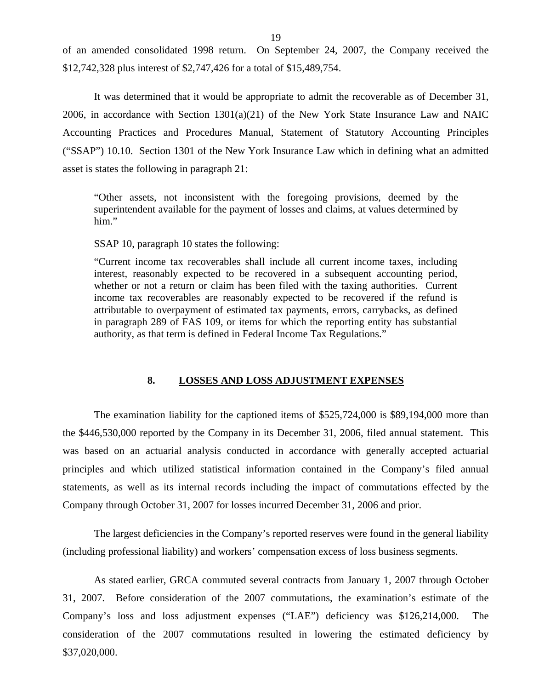<span id="page-20-0"></span>of an amended consolidated 1998 return. On September 24, 2007, the Company received the \$12,742,328 plus interest of \$2,747,426 for a total of \$15,489,754.

It was determined that it would be appropriate to admit the recoverable as of December 31, 2006, in accordance with Section 1301(a)(21) of the New York State Insurance Law and NAIC Accounting Practices and Procedures Manual, Statement of Statutory Accounting Principles ("SSAP") 10.10. Section 1301 of the New York Insurance Law which in defining what an admitted asset is states the following in paragraph 21:

"Other assets, not inconsistent with the foregoing provisions, deemed by the superintendent available for the payment of losses and claims, at values determined by him."

SSAP 10, paragraph 10 states the following:

"Current income tax recoverables shall include all current income taxes, including interest, reasonably expected to be recovered in a subsequent accounting period, whether or not a return or claim has been filed with the taxing authorities. Current income tax recoverables are reasonably expected to be recovered if the refund is attributable to overpayment of estimated tax payments, errors, carrybacks, as defined in paragraph 289 of FAS 109, or items for which the reporting entity has substantial authority, as that term is defined in Federal Income Tax Regulations."

### **8. LOSSES AND LOSS ADJUSTMENT EXPENSES**

The examination liability for the captioned items of \$525,724,000 is \$89,194,000 more than the \$446,530,000 reported by the Company in its December 31, 2006, filed annual statement. This was based on an actuarial analysis conducted in accordance with generally accepted actuarial principles and which utilized statistical information contained in the Company's filed annual statements, as well as its internal records including the impact of commutations effected by the Company through October 31, 2007 for losses incurred December 31, 2006 and prior.

The largest deficiencies in the Company's reported reserves were found in the general liability (including professional liability) and workers' compensation excess of loss business segments.

As stated earlier, GRCA commuted several contracts from January 1, 2007 through October 31, 2007. Before consideration of the 2007 commutations, the examination's estimate of the Company's loss and loss adjustment expenses ("LAE") deficiency was \$126,214,000. The consideration of the 2007 commutations resulted in lowering the estimated deficiency by \$37,020,000.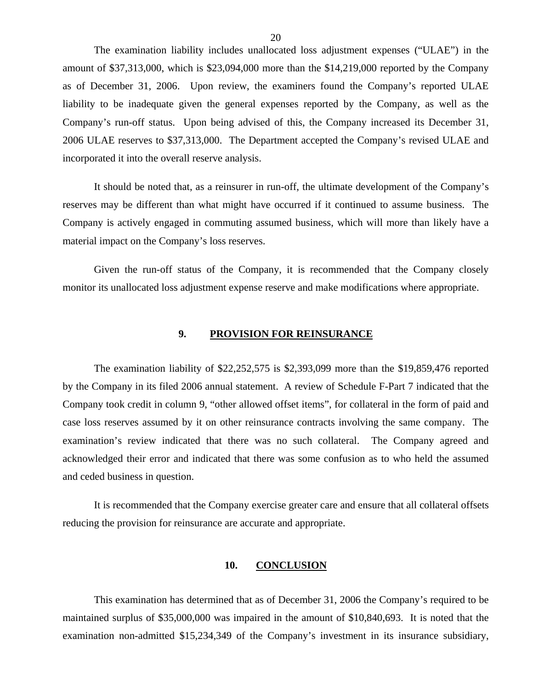<span id="page-21-0"></span>The examination liability includes unallocated loss adjustment expenses ("ULAE") in the amount of \$37,313,000, which is \$23,094,000 more than the \$14,219,000 reported by the Company as of December 31, 2006. Upon review, the examiners found the Company's reported ULAE liability to be inadequate given the general expenses reported by the Company, as well as the Company's run-off status. Upon being advised of this, the Company increased its December 31, 2006 ULAE reserves to \$37,313,000. The Department accepted the Company's revised ULAE and incorporated it into the overall reserve analysis.

It should be noted that, as a reinsurer in run-off, the ultimate development of the Company's reserves may be different than what might have occurred if it continued to assume business. The Company is actively engaged in commuting assumed business, which will more than likely have a material impact on the Company's loss reserves.

Given the run-off status of the Company, it is recommended that the Company closely monitor its unallocated loss adjustment expense reserve and make modifications where appropriate.

### **9. PROVISION FOR REINSURANCE**

The examination liability of \$22,252,575 is \$2,393,099 more than the \$19,859,476 reported by the Company in its filed 2006 annual statement. A review of Schedule F-Part 7 indicated that the Company took credit in column 9, "other allowed offset items", for collateral in the form of paid and case loss reserves assumed by it on other reinsurance contracts involving the same company. The examination's review indicated that there was no such collateral. The Company agreed and acknowledged their error and indicated that there was some confusion as to who held the assumed and ceded business in question.

It is recommended that the Company exercise greater care and ensure that all collateral offsets reducing the provision for reinsurance are accurate and appropriate.

### **10. CONCLUSION**

This examination has determined that as of December 31, 2006 the Company's required to be maintained surplus of \$35,000,000 was impaired in the amount of \$10,840,693. It is noted that the examination non-admitted \$15,234,349 of the Company's investment in its insurance subsidiary,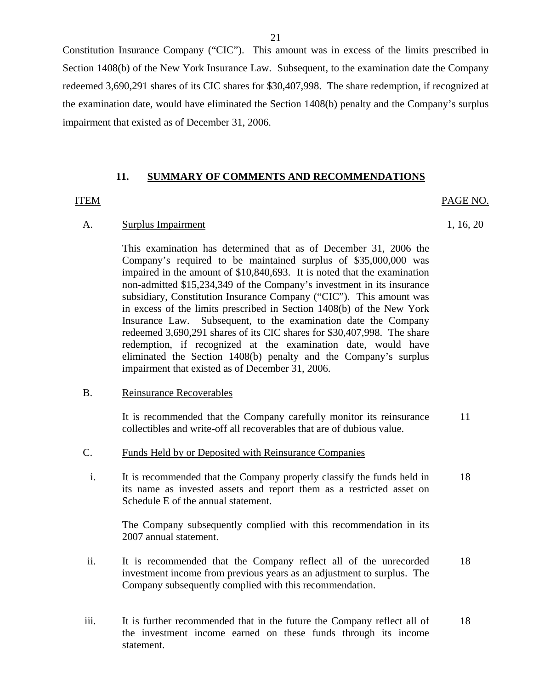<span id="page-22-0"></span>Constitution Insurance Company ("CIC"). This amount was in excess of the limits prescribed in Section 1408(b) of the New York Insurance Law. Subsequent, to the examination date the Company redeemed 3,690,291 shares of its CIC shares for \$30,407,998. The share redemption, if recognized at the examination date, would have eliminated the Section 1408(b) penalty and the Company's surplus impairment that existed as of December 31, 2006.

### **11. SUMMARY OF COMMENTS AND RECOMMENDATIONS**

### ITEM PAGE NO.

A. Surplus Impairment 1, 16, 20

This examination has determined that as of December 31, 2006 the Company's required to be maintained surplus of \$35,000,000 was impaired in the amount of \$10,840,693. It is noted that the examination non-admitted \$15,234,349 of the Company's investment in its insurance subsidiary, Constitution Insurance Company ("CIC"). This amount was in excess of the limits prescribed in Section 1408(b) of the New York Insurance Law. Subsequent, to the examination date the Company redeemed 3,690,291 shares of its CIC shares for \$30,407,998. The share redemption, if recognized at the examination date, would have eliminated the Section 1408(b) penalty and the Company's surplus impairment that existed as of December 31, 2006.

### B. Reinsurance Recoverables

It is recommended that the Company carefully monitor its reinsurance 11 collectibles and write-off all recoverables that are of dubious value.

- C. Funds Held by or Deposited with Reinsurance Companies
- i. It is recommended that the Company properly classify the funds held in 18 its name as invested assets and report them as a restricted asset on Schedule E of the annual statement.

The Company subsequently complied with this recommendation in its 2007 annual statement.

- ii. It is recommended that the Company reflect all of the unrecorded 18 investment income from previous years as an adjustment to surplus. The Company subsequently complied with this recommendation.
- iii. It is further recommended that in the future the Company reflect all of 18 the investment income earned on these funds through its income statement.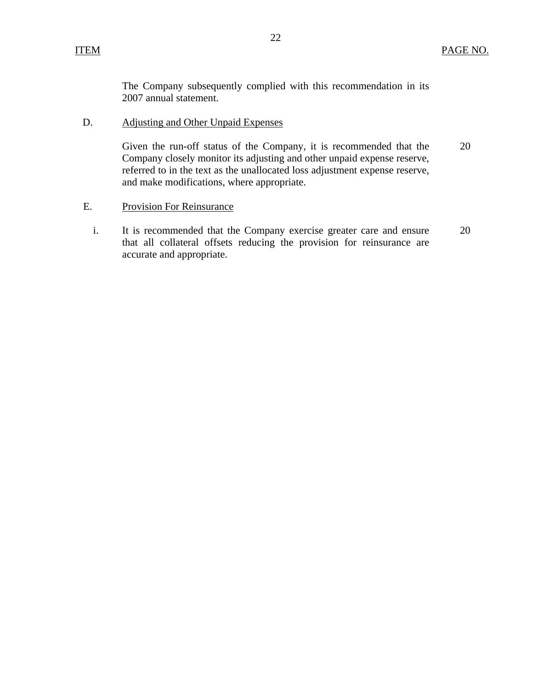The Company subsequently complied with this recommendation in its 2007 annual statement.

# D. Adjusting and Other Unpaid Expenses

Given the run-off status of the Company, it is recommended that the Company closely monitor its adjusting and other unpaid expense reserve, referred to in the text as the unallocated loss adjustment expense reserve, and make modifications, where appropriate. 20

### E. Provision For Reinsurance

i. It is recommended that the Company exercise greater care and ensure that all collateral offsets reducing the provision for reinsurance are accurate and appropriate. 20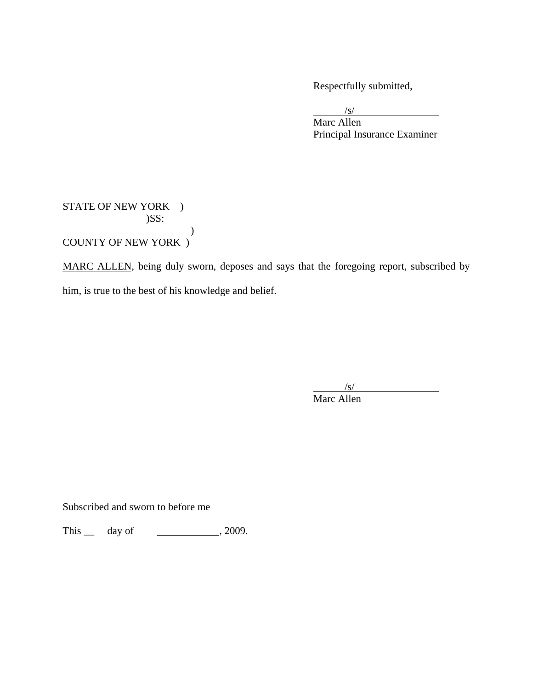Respectfully submitted,

 $\sqrt{s}$ 

 Marc Allen Principal Insurance Examiner

STATE OF NEW YORK ) )SS: ) COUNTY OF NEW YORK )

MARC ALLEN, being duly sworn, deposes and says that the foregoing report, subscribed by him, is true to the best of his knowledge and belief.

 $\sqrt{s}$ Marc Allen

Subscribed and sworn to before me

This \_\_ day of \_\_\_\_\_\_\_\_\_\_\_\_\_\_\_, 2009.